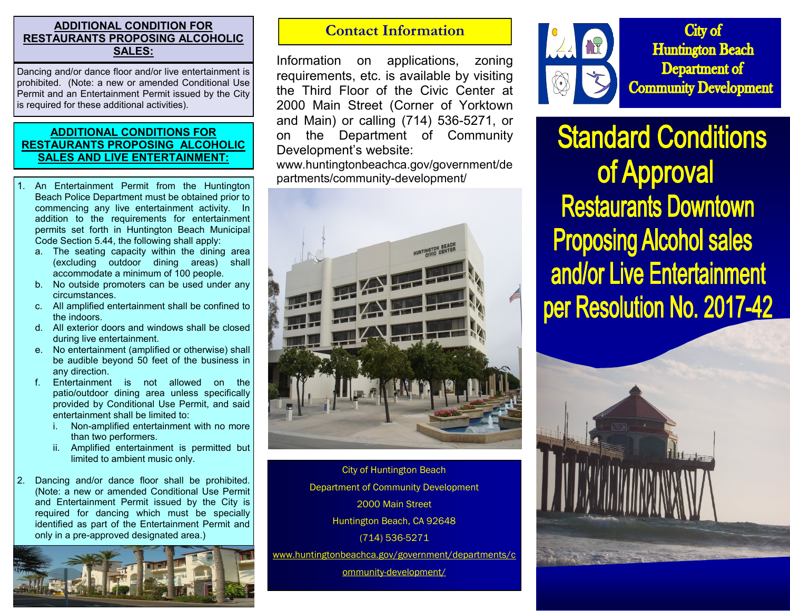## **ADDITIONAL CONDITION FOR RESTAURANTS PROPOSING ALCOHOLIC SALES:**

Dancing and/or dance floor and/or live entertainment is prohibited. (Note: a new or amended Conditional Use Permit and an Entertainment Permit issued by the City is required for these additional activities).

## **ADDITIONAL CONDITIONS FOR RESTAURANTS PROPOSING ALCOHOLIC SALES AND LIVE ENTERTAINMENT:**

- 1. An Entertainment Permit from the Huntington Beach Police Department must be obtained prior to commencing any live entertainment activity. In addition to the requirements for entertainment permits set forth in Huntington Beach Municipal Code Section 5.44, the following shall apply:
	- a. The seating capacity within the dining area (excluding outdoor dining areas) shall accommodate a minimum of 100 people.
	- b. No outside promoters can be used under any circumstances.
	- c. All amplified entertainment shall be confined to the indoors.
	- d. All exterior doors and windows shall be closed during live entertainment.
	- e. No entertainment (amplified or otherwise) shall be audible beyond 50 feet of the business in any direction.
	- f. Entertainment is not allowed on the patio/outdoor dining area unless specifically provided by Conditional Use Permit, and said entertainment shall be limited to:
		- i. Non-amplified entertainment with no more than two performers.
		- ii. Amplified entertainment is permitted but limited to ambient music only.
- 2. Dancing and/or dance floor shall be prohibited. (Note: a new or amended Conditional Use Permit and Entertainment Permit issued by the City is required for dancing which must be specially identified as part of the Entertainment Permit and only in a pre-approved designated area.)



## **Contact Information**

Information on applications, zoning requirements, etc. is available by visiting the Third Floor of the Civic Center at 2000 Main Street (Corner of Yorktown and Main) or calling (714) 536-5271, or on the Department of Community Development's website:

www.huntingtonbeachca.gov/government/de partments/community-development/



City of Huntington Beach Department of Community Development 2000 Main Street Huntington Beach, CA 92648 (714) 536-5271 www.huntingtonbeachca.gov/government/departments/c

ommunity-development/



**Standard Conditions** of Approval **Restaurants Downtown Proposing Alcohol sales** and/or Live Entertainment per Resolution No. 2017-42